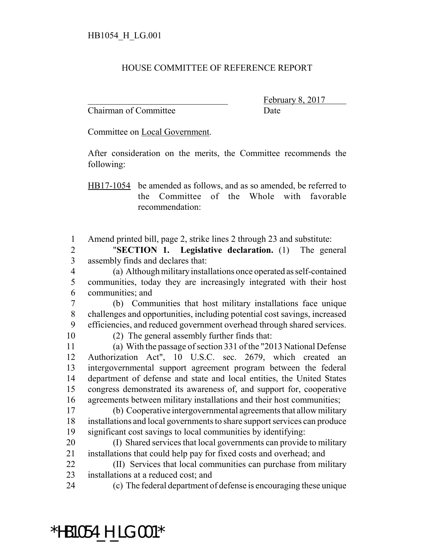## HOUSE COMMITTEE OF REFERENCE REPORT

Chairman of Committee Date

February 8,

Committee on Local Government.

After consideration on the merits, the Committee recommends the following:

HB17-1054 be amended as follows, and as so amended, be referred to the Committee of the Whole with favorable recommendation:

Amend printed bill, page 2, strike lines 2 through 23 and substitute:

 "**SECTION 1. Legislative declaration.** (1) The general assembly finds and declares that:

 (a) Although military installations once operated as self-contained communities, today they are increasingly integrated with their host communities; and

 (b) Communities that host military installations face unique challenges and opportunities, including potential cost savings, increased efficiencies, and reduced government overhead through shared services.

(2) The general assembly further finds that:

 (a) With the passage of section 331 of the "2013 National Defense Authorization Act", 10 U.S.C. sec. 2679, which created an intergovernmental support agreement program between the federal department of defense and state and local entities, the United States congress demonstrated its awareness of, and support for, cooperative agreements between military installations and their host communities;

 (b) Cooperative intergovernmental agreements that allow military installations and local governments to share support services can produce significant cost savings to local communities by identifying:

 (I) Shared services that local governments can provide to military installations that could help pay for fixed costs and overhead; and

 (II) Services that local communities can purchase from military installations at a reduced cost; and

\*HB1054\_H\_LG.001\*

(c) The federal department of defense is encouraging these unique